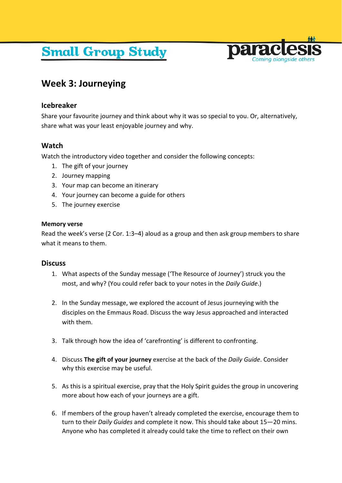# **Small Group Study**



# **Week 3: Journeying**

## **Icebreaker**

Share your favourite journey and think about why it was so special to you. Or, alternatively, share what was your least enjoyable journey and why.

# **Watch**

Watch the introductory video together and consider the following concepts:

- 1. The gift of your journey
- 2. Journey mapping
- 3. Your map can become an itinerary
- 4. Your journey can become a guide for others
- 5. The journey exercise

### **Memory verse**

Read the week's verse (2 Cor. 1:3–4) aloud as a group and then ask group members to share what it means to them.

### **Discuss**

- 1. What aspects of the Sunday message ('The Resource of Journey') struck you the most, and why? (You could refer back to your notes in the *Daily Guide*.)
- 2. In the Sunday message, we explored the account of Jesus journeying with the disciples on the Emmaus Road. Discuss the way Jesus approached and interacted with them.
- 3. Talk through how the idea of 'carefronting' is different to confronting.
- 4. Discuss **The gift of your journey** exercise at the back of the *Daily Guide*. Consider why this exercise may be useful.
- 5. As this is a spiritual exercise, pray that the Holy Spirit guides the group in uncovering more about how each of your journeys are a gift.
- 6. If members of the group haven't already completed the exercise, encourage them to turn to their *Daily Guides* and complete it now. This should take about 15—20 mins. Anyone who has completed it already could take the time to reflect on their own